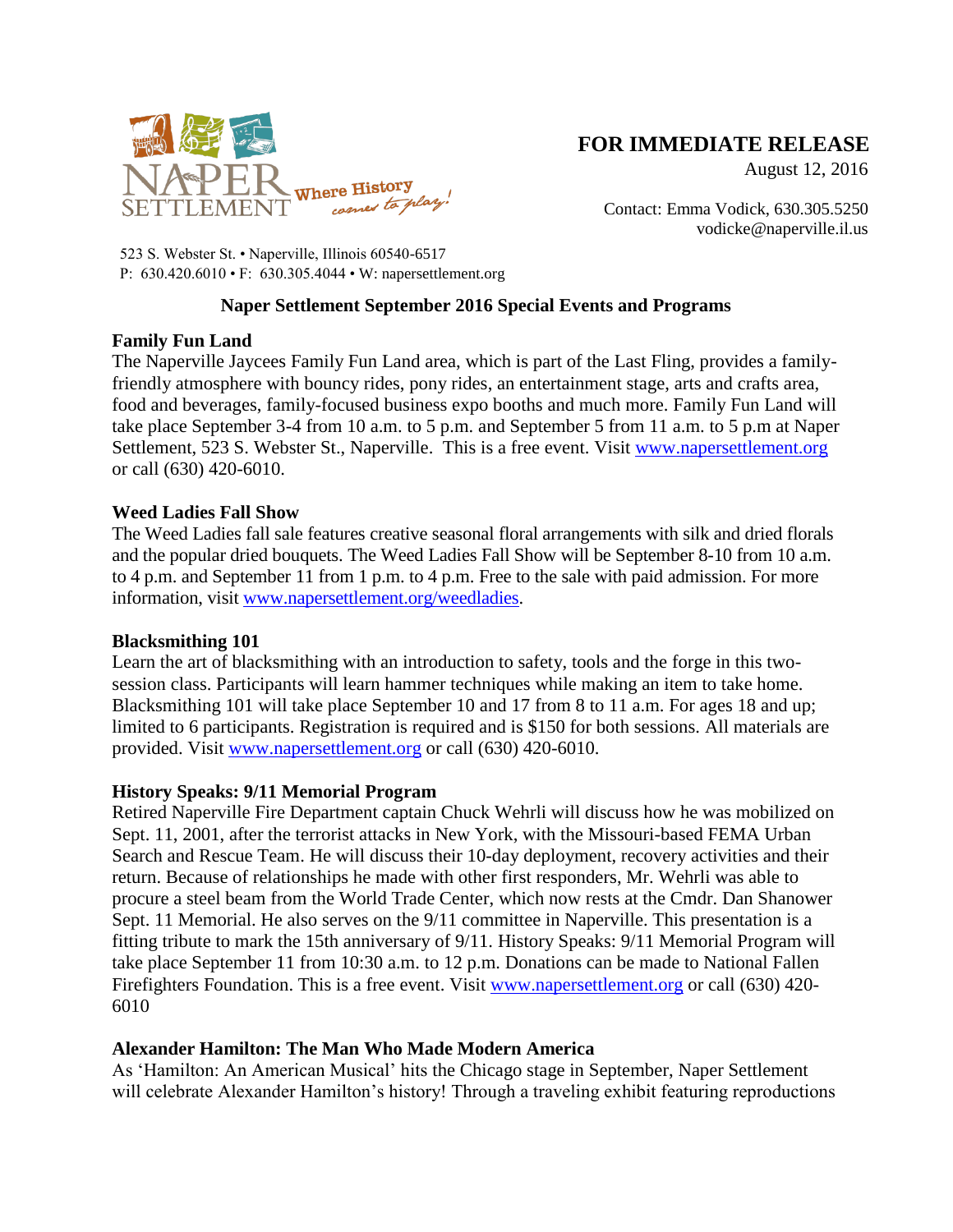

# **FOR IMMEDIATE RELEASE**

August 12, 2016

Contact: Emma Vodick, 630.305.5250 vodicke@naperville.il.us

523 S. Webster St. • Naperville, Illinois 60540-6517 P: 630.420.6010 • F: 630.305.4044 • W: napersettlement.org

# **Naper Settlement September 2016 Special Events and Programs**

## **Family Fun Land**

The Naperville Jaycees Family Fun Land area, which is part of the Last Fling, provides a familyfriendly atmosphere with bouncy rides, pony rides, an entertainment stage, arts and crafts area, food and beverages, family-focused business expo booths and much more. Family Fun Land will take place September 3-4 from 10 a.m. to 5 p.m. and September 5 from 11 a.m. to 5 p.m at Naper Settlement, 523 S. Webster St., Naperville. This is a free event. Visit [www.napersettlement.org](http://www.napersettlement.org/) or call (630) 420-6010.

## **Weed Ladies Fall Show**

The Weed Ladies fall sale features creative seasonal floral arrangements with silk and dried florals and the popular dried bouquets. The Weed Ladies Fall Show will be September 8-10 from 10 a.m. to 4 p.m. and September 11 from 1 p.m. to 4 p.m. Free to the sale with paid admission. For more information, visit [www.napersettlement.org/weedladies.](http://www.napersettlement.org/weedladies)

### **Blacksmithing 101**

Learn the art of blacksmithing with an introduction to safety, tools and the forge in this twosession class. Participants will learn hammer techniques while making an item to take home. Blacksmithing 101 will take place September 10 and 17 from 8 to 11 a.m. For ages 18 and up; limited to 6 participants. Registration is required and is \$150 for both sessions. All materials are provided. Visit [www.napersettlement.org](http://www.napersettlement.org/) or call (630) 420-6010.

### **History Speaks: 9/11 Memorial Program**

Retired Naperville Fire Department captain Chuck Wehrli will discuss how he was mobilized on Sept. 11, 2001, after the terrorist attacks in New York, with the Missouri-based FEMA Urban Search and Rescue Team. He will discuss their 10-day deployment, recovery activities and their return. Because of relationships he made with other first responders, Mr. Wehrli was able to procure a steel beam from the World Trade Center, which now rests at the Cmdr. Dan Shanower Sept. 11 Memorial. He also serves on the 9/11 committee in Naperville. This presentation is a fitting tribute to mark the 15th anniversary of 9/11. History Speaks: 9/11 Memorial Program will take place September 11 from 10:30 a.m. to 12 p.m. Donations can be made to National Fallen Firefighters Foundation. This is a free event. Visit [www.napersettlement.org](http://www.napersettlement.org/) or call (630) 420- 6010

# **Alexander Hamilton: The Man Who Made Modern America**

As 'Hamilton: An American Musical' hits the Chicago stage in September, Naper Settlement will celebrate Alexander Hamilton's history! Through a traveling exhibit featuring reproductions